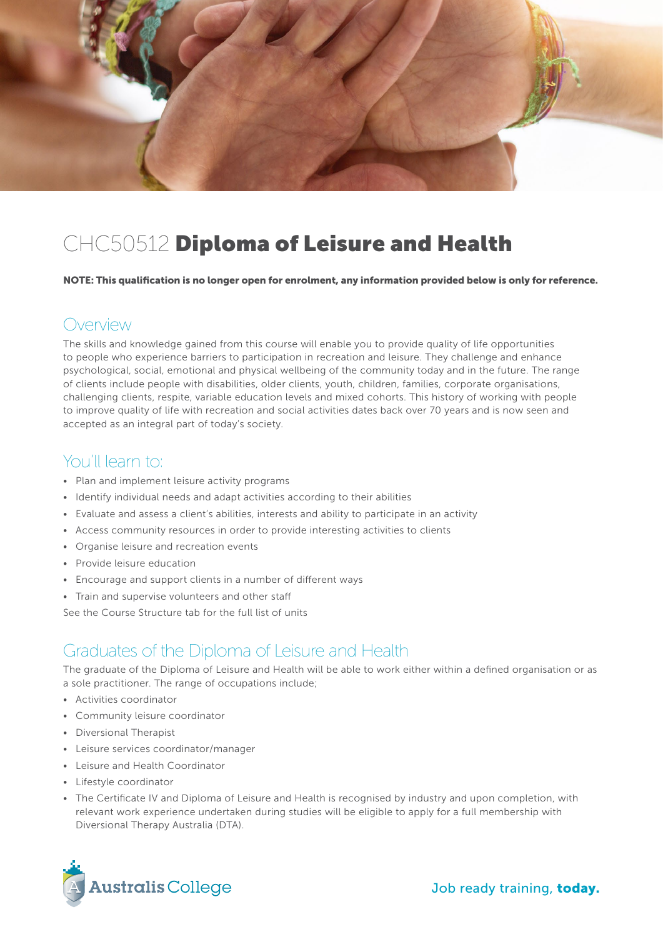

# CHC50512 Diploma of Leisure and Health

NOTE: This qualification is no longer open for enrolment, any information provided below is only for reference.

#### Overview

The skills and knowledge gained from this course will enable you to provide quality of life opportunities to people who experience barriers to participation in recreation and leisure. They challenge and enhance psychological, social, emotional and physical wellbeing of the community today and in the future. The range of clients include people with disabilities, older clients, youth, children, families, corporate organisations, challenging clients, respite, variable education levels and mixed cohorts. This history of working with people to improve quality of life with recreation and social activities dates back over 70 years and is now seen and accepted as an integral part of today's society.

### You'll learn to:

- Plan and implement leisure activity programs
- Identify individual needs and adapt activities according to their abilities
- Evaluate and assess a client's abilities, interests and ability to participate in an activity
- Access community resources in order to provide interesting activities to clients
- Organise leisure and recreation events
- Provide leisure education
- Encourage and support clients in a number of different ways
- Train and supervise volunteers and other staff

See the Course Structure tab for the full list of units

#### Graduates of the Diploma of Leisure and Health

The graduate of the Diploma of Leisure and Health will be able to work either within a defined organisation or as a sole practitioner. The range of occupations include;

- Activities coordinator
- Community leisure coordinator
- Diversional Therapist
- Leisure services coordinator/manager
- Leisure and Health Coordinator
- Lifestyle coordinator
- The Certificate IV and Diploma of Leisure and Health is recognised by industry and upon completion, with relevant work experience undertaken during studies will be eligible to apply for a full membership with Diversional Therapy Australia (DTA).

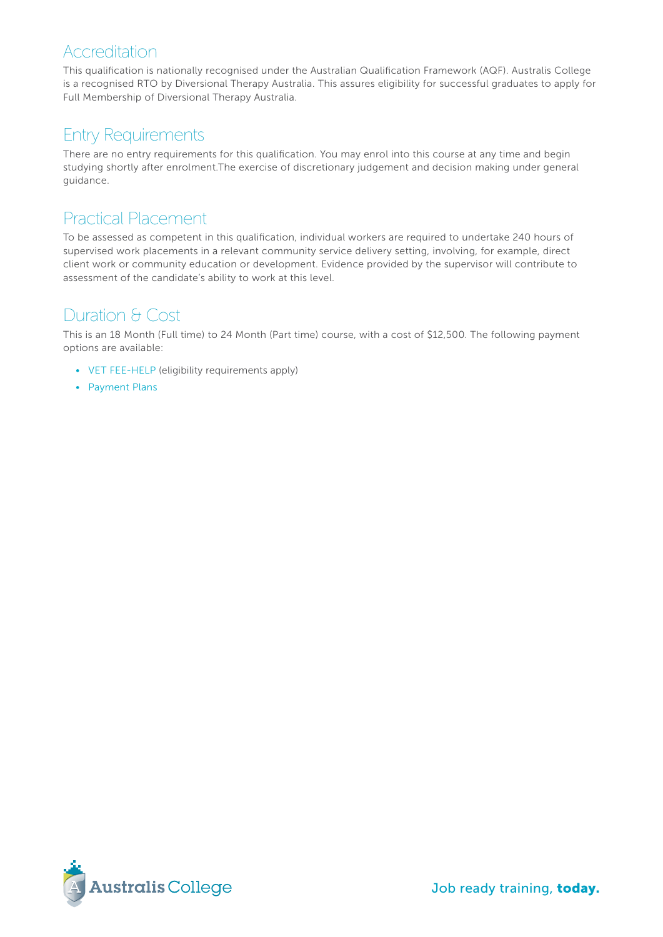#### Accreditation

This qualification is nationally recognised under the Australian Qualification Framework (AQF). Australis College is a recognised RTO by Diversional Therapy Australia. This assures eligibility for successful graduates to apply for Full Membership of Diversional Therapy Australia.

### Entry Requirements

There are no entry requirements for this qualification. You may enrol into this course at any time and begin studying shortly after enrolment.The exercise of discretionary judgement and decision making under general guidance.

### Practical Placement

To be assessed as competent in this qualification, individual workers are required to undertake 240 hours of supervised work placements in a relevant community service delivery setting, involving, for example, direct client work or community education or development. Evidence provided by the supervisor will contribute to assessment of the candidate's ability to work at this level.

# Duration & Cost

This is an 18 Month (Full time) to 24 Month (Part time) course, with a cost of \$12,500. The following payment options are available:

- [VET FEE-HELP](http://www.australiscollege.edu.au/vet-fee-help/) (eligibility requirements apply)
- [Payment Plans](http://www.australiscollege.edu.au/payment-plans/)